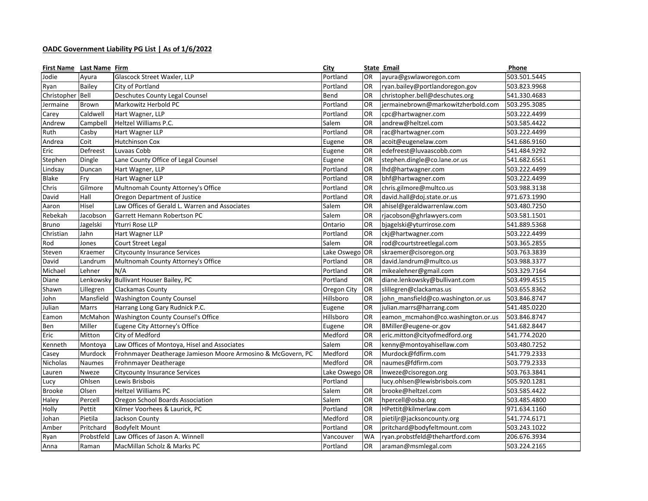## **OADC Government Liability PG List | As of 1/6/2022**

| First Name Last Name Firm |               |                                                              | City           |           | State Email                        | Phone        |
|---------------------------|---------------|--------------------------------------------------------------|----------------|-----------|------------------------------------|--------------|
| Jodie                     | Ayura         | Glascock Street Waxler, LLP                                  | Portland       | <b>OR</b> | ayura@gswlaworegon.com             | 503.501.5445 |
| Ryan                      | Bailey        | City of Portland                                             | Portland       | <b>OR</b> | ryan.bailey@portlandoregon.gov     | 503.823.9968 |
| Christopher               | Bell          | Deschutes County Legal Counsel                               | Bend           | <b>OR</b> | christopher.bell@deschutes.org     | 541.330.4683 |
| Jermaine                  | <b>Brown</b>  | Markowitz Herbold PC                                         | Portland       | <b>OR</b> | jermainebrown@markowitzherbold.com | 503.295.3085 |
| Carey                     | Caldwell      | Hart Wagner, LLP                                             | Portland       | <b>OR</b> | cpc@hartwagner.com                 | 503.222.4499 |
| Andrew                    | Campbell      | Heltzel Williams P.C.                                        | Salem          | <b>OR</b> | andrew@heltzel.com                 | 503.585.4422 |
| Ruth                      | Casby         | Hart Wagner LLP                                              | Portland       | <b>OR</b> | rac@hartwagner.com                 | 503.222.4499 |
| Andrea                    | Coit          | <b>Hutchinson Cox</b>                                        | Eugene         | OR        | acoit@eugenelaw.com                | 541.686.9160 |
| Eric                      | Defreest      | Luvaas Cobb                                                  | Eugene         | <b>OR</b> | edefreest@luvaascobb.com           | 541.484.9292 |
| Stephen                   | Dingle        | Lane County Office of Legal Counsel                          | Eugene         | <b>OR</b> | stephen.dingle@co.lane.or.us       | 541.682.6561 |
| Lindsay                   | Duncan        | Hart Wagner, LLP                                             | Portland       | <b>OR</b> | Ihd@hartwagner.com                 | 503.222.4499 |
| <b>Blake</b>              | Fry           | Hart Wagner LLP                                              | Portland       | <b>OR</b> | bhf@hartwagner.com                 | 503.222.4499 |
| Chris                     | Gilmore       | Multnomah County Attorney's Office                           | Portland       | 0R        | chris.gilmore@multco.us            | 503.988.3138 |
| David                     | Hall          | Oregon Department of Justice                                 | Portland       | OR        | david.hall@doj.state.or.us         | 971.673.1990 |
| Aaron                     | Hisel         | Law Offices of Gerald L. Warren and Associates               | Salem          | <b>OR</b> | ahisel@geraldwarrenlaw.com         | 503.480.7250 |
| Rebekah                   | Jacobson      | Garrett Hemann Robertson PC                                  | Salem          | <b>OR</b> | rjacobson@ghrlawyers.com           | 503.581.1501 |
| <b>Bruno</b>              | Jagelski      | Yturri Rose LLP                                              | Ontario        | OR        | bjagelski@yturrirose.com           | 541.889.5368 |
| Christian                 | Jahn          | Hart Wagner LLP                                              | Portland       | OR        | ckj@hartwagner.com                 | 503.222.4499 |
| Rod                       | Jones         | Court Street Legal                                           | Salem          | <b>OR</b> | rod@courtstreetlegal.com           | 503.365.2855 |
| Steven                    | Kraemer       | <b>Citycounty Insurance Services</b>                         | Lake Oswego OR |           | skraemer@cisoregon.org             | 503.763.3839 |
| David                     | Landrum       | Multnomah County Attorney's Office                           | Portland       | OR        | david.landrum@multco.us            | 503.988.3377 |
| Michael                   | Lehner        | N/A                                                          | Portland       | OR        | mikealehner@gmail.com              | 503.329.7164 |
| Diane                     | Lenkowsky     | Bullivant Houser Bailey, PC                                  | Portland       | <b>OR</b> | diane.lenkowsky@bullivant.com      | 503.499.4515 |
| Shawn                     | Lillegren     | Clackamas County                                             | Oregon City    | OR        | slillegren@clackamas.us            | 503.655.8362 |
| John                      | Mansfield     | <b>Washington County Counsel</b>                             | Hillsboro      | OR        | john_mansfield@co.washington.or.us | 503.846.8747 |
| Julian                    | Marrs         | Harrang Long Gary Rudnick P.C.                               | Eugene         | <b>OR</b> | julian.marrs@harrang.com           | 541.485.0220 |
| Eamon                     | McMahon       | Washington County Counsel's Office                           | Hillsboro      | OR        | eamon_mcmahon@co.washington.or.us  | 503.846.8747 |
| Ben                       | Miller        | Eugene City Attorney's Office                                | Eugene         | OR        | BMiller@eugene-or.gov              | 541.682.8447 |
| Eric                      | Mitton        | City of Medford                                              | Medford        | OR        | eric.mitton@cityofmedford.org      | 541.774.2020 |
| Kenneth                   | Montoya       | Law Offices of Montoya, Hisel and Associates                 | Salem          | <b>OR</b> | kenny@montoyahisellaw.com          | 503.480.7252 |
| Casey                     | Murdock       | Frohnmayer Deatherage Jamieson Moore Armosino & McGovern, PC | Medford        | OR        | Murdock@fdfirm.com                 | 541.779.2333 |
| Nicholas                  | <b>Naumes</b> | Frohnmayer Deatherage                                        | Medford        | <b>OR</b> | naumes@fdfirm.com                  | 503.779.2333 |
| Lauren                    | Nweze         | <b>Citycounty Insurance Services</b>                         | Lake Oswego    | <b>OR</b> | Inweze@cisoregon.org               | 503.763.3841 |
| Lucy                      | Ohlsen        | Lewis Brisbois                                               | Portland       |           | lucy.ohlsen@lewisbrisbois.com      | 505.920.1281 |
| <b>Brooke</b>             | Olsen         | Heltzel Williams PC                                          | Salem          | <b>OR</b> | brooke@heltzel.com                 | 503.585.4422 |
| Haley                     | Percell       | Oregon School Boards Association                             | Salem          | <b>OR</b> | hpercell@osba.org                  | 503.485.4800 |
| Holly                     | Pettit        | Kilmer Voorhees & Laurick, PC                                | Portland       | OR        | HPettit@kilmerlaw.com              | 971.634.1160 |
| Johan                     | Pietila       | Jackson County                                               | Medford        | <b>OR</b> | pietiljr@jacksoncounty.org         | 541.774.6171 |
| Amber                     | Pritchard     | <b>Bodyfelt Mount</b>                                        | Portland       | <b>OR</b> | pritchard@bodyfeltmount.com        | 503.243.1022 |
| Ryan                      | Probstfeld    | Law Offices of Jason A. Winnell                              | Vancouver      | <b>WA</b> | ryan.probstfeld@thehartford.com    | 206.676.3934 |
| Anna                      | Raman         | MacMillan Scholz & Marks PC                                  | Portland       | OR        | araman@msmlegal.com                | 503.224.2165 |